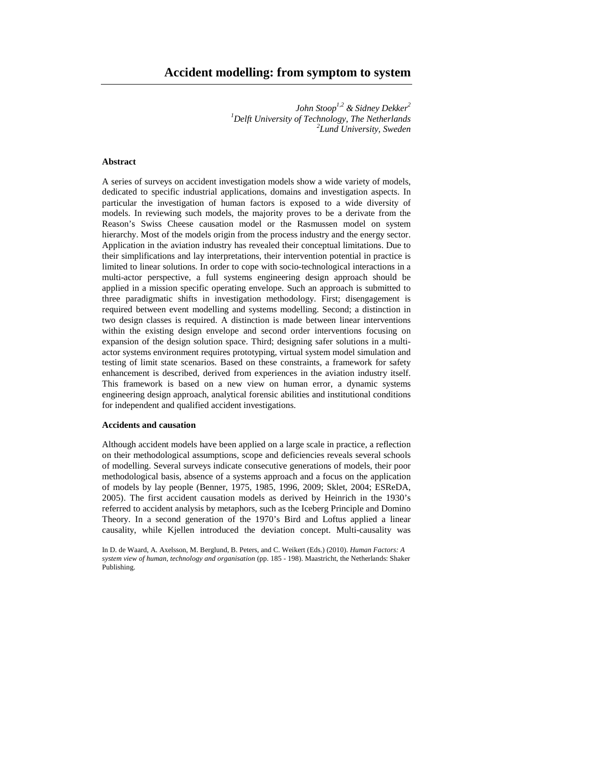*John Stoop1,2 & Sidney Dekker<sup>2</sup> <sup>1</sup>Delft University of Technology, The Netherlands 2 Lund University, Sweden* 

# **Abstract**

A series of surveys on accident investigation models show a wide variety of models, dedicated to specific industrial applications, domains and investigation aspects. In particular the investigation of human factors is exposed to a wide diversity of models. In reviewing such models, the majority proves to be a derivate from the Reason's Swiss Cheese causation model or the Rasmussen model on system hierarchy. Most of the models origin from the process industry and the energy sector. Application in the aviation industry has revealed their conceptual limitations. Due to their simplifications and lay interpretations, their intervention potential in practice is limited to linear solutions. In order to cope with socio-technological interactions in a multi-actor perspective, a full systems engineering design approach should be applied in a mission specific operating envelope. Such an approach is submitted to three paradigmatic shifts in investigation methodology. First; disengagement is required between event modelling and systems modelling. Second; a distinction in two design classes is required. A distinction is made between linear interventions within the existing design envelope and second order interventions focusing on expansion of the design solution space. Third; designing safer solutions in a multiactor systems environment requires prototyping, virtual system model simulation and testing of limit state scenarios. Based on these constraints, a framework for safety enhancement is described, derived from experiences in the aviation industry itself. This framework is based on a new view on human error, a dynamic systems engineering design approach, analytical forensic abilities and institutional conditions for independent and qualified accident investigations.

### **Accidents and causation**

Although accident models have been applied on a large scale in practice, a reflection on their methodological assumptions, scope and deficiencies reveals several schools of modelling. Several surveys indicate consecutive generations of models, their poor methodological basis, absence of a systems approach and a focus on the application of models by lay people (Benner, 1975, 1985, 1996, 2009; Sklet, 2004; ESReDA, 2005). The first accident causation models as derived by Heinrich in the 1930's referred to accident analysis by metaphors, such as the Iceberg Principle and Domino Theory. In a second generation of the 1970's Bird and Loftus applied a linear causality, while Kjellen introduced the deviation concept. Multi-causality was

In D. de Waard, A. Axelsson, M. Berglund, B. Peters, and C. Weikert (Eds.) (2010). *Human Factors: A system view of human, technology and organisation* (pp. 185 - 198). Maastricht, the Netherlands: Shaker Publishing.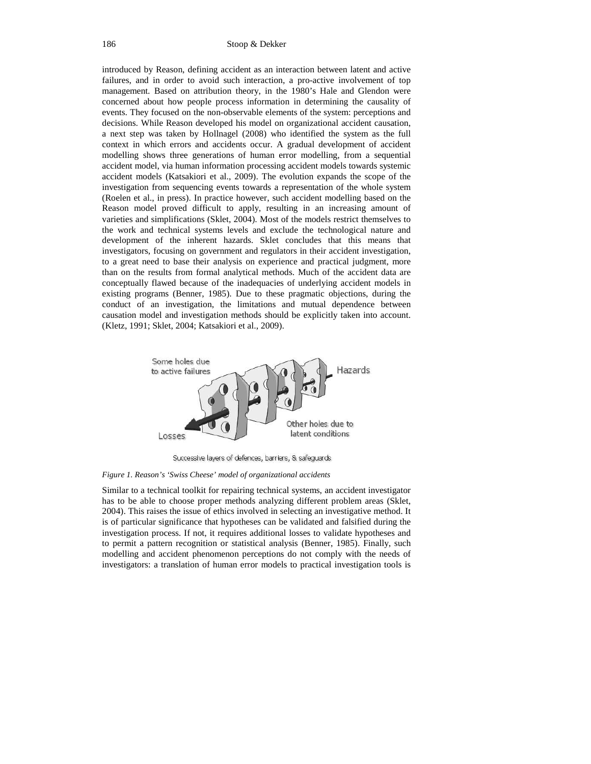introduced by Reason, defining accident as an interaction between latent and active failures, and in order to avoid such interaction, a pro-active involvement of top management. Based on attribution theory, in the 1980's Hale and Glendon were concerned about how people process information in determining the causality of events. They focused on the non-observable elements of the system: perceptions and decisions. While Reason developed his model on organizational accident causation, a next step was taken by Hollnagel (2008) who identified the system as the full context in which errors and accidents occur. A gradual development of accident modelling shows three generations of human error modelling, from a sequential accident model, via human information processing accident models towards systemic accident models (Katsakiori et al., 2009). The evolution expands the scope of the investigation from sequencing events towards a representation of the whole system (Roelen et al., in press). In practice however, such accident modelling based on the Reason model proved difficult to apply, resulting in an increasing amount of varieties and simplifications (Sklet, 2004). Most of the models restrict themselves to the work and technical systems levels and exclude the technological nature and development of the inherent hazards. Sklet concludes that this means that investigators, focusing on government and regulators in their accident investigation, to a great need to base their analysis on experience and practical judgment, more than on the results from formal analytical methods. Much of the accident data are conceptually flawed because of the inadequacies of underlying accident models in existing programs (Benner, 1985). Due to these pragmatic objections, during the conduct of an investigation, the limitations and mutual dependence between causation model and investigation methods should be explicitly taken into account. (Kletz, 1991; Sklet, 2004; Katsakiori et al., 2009).



Successive layers of defences, barriers, & safeguards

*Figure 1. Reason's 'Swiss Cheese' model of organizational accidents* 

Similar to a technical toolkit for repairing technical systems, an accident investigator has to be able to choose proper methods analyzing different problem areas (Sklet, 2004). This raises the issue of ethics involved in selecting an investigative method. It is of particular significance that hypotheses can be validated and falsified during the investigation process. If not, it requires additional losses to validate hypotheses and to permit a pattern recognition or statistical analysis (Benner, 1985). Finally, such modelling and accident phenomenon perceptions do not comply with the needs of investigators: a translation of human error models to practical investigation tools is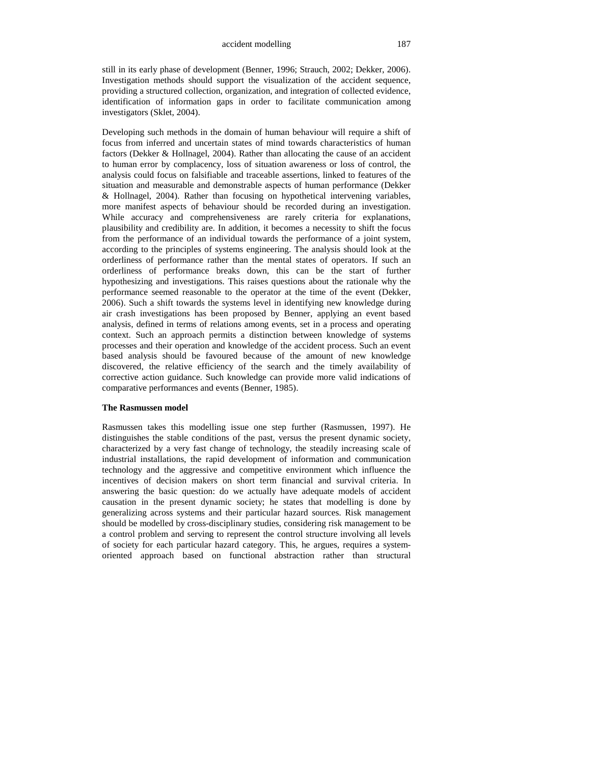still in its early phase of development (Benner, 1996; Strauch, 2002; Dekker, 2006). Investigation methods should support the visualization of the accident sequence, providing a structured collection, organization, and integration of collected evidence, identification of information gaps in order to facilitate communication among investigators (Sklet, 2004).

Developing such methods in the domain of human behaviour will require a shift of focus from inferred and uncertain states of mind towards characteristics of human factors (Dekker & Hollnagel, 2004). Rather than allocating the cause of an accident to human error by complacency, loss of situation awareness or loss of control, the analysis could focus on falsifiable and traceable assertions, linked to features of the situation and measurable and demonstrable aspects of human performance (Dekker & Hollnagel, 2004). Rather than focusing on hypothetical intervening variables, more manifest aspects of behaviour should be recorded during an investigation. While accuracy and comprehensiveness are rarely criteria for explanations, plausibility and credibility are. In addition, it becomes a necessity to shift the focus from the performance of an individual towards the performance of a joint system, according to the principles of systems engineering. The analysis should look at the orderliness of performance rather than the mental states of operators. If such an orderliness of performance breaks down, this can be the start of further hypothesizing and investigations. This raises questions about the rationale why the performance seemed reasonable to the operator at the time of the event (Dekker, 2006). Such a shift towards the systems level in identifying new knowledge during air crash investigations has been proposed by Benner, applying an event based analysis, defined in terms of relations among events, set in a process and operating context. Such an approach permits a distinction between knowledge of systems processes and their operation and knowledge of the accident process. Such an event based analysis should be favoured because of the amount of new knowledge discovered, the relative efficiency of the search and the timely availability of corrective action guidance. Such knowledge can provide more valid indications of comparative performances and events (Benner, 1985).

## **The Rasmussen model**

Rasmussen takes this modelling issue one step further (Rasmussen, 1997). He distinguishes the stable conditions of the past, versus the present dynamic society, characterized by a very fast change of technology, the steadily increasing scale of industrial installations, the rapid development of information and communication technology and the aggressive and competitive environment which influence the incentives of decision makers on short term financial and survival criteria. In answering the basic question: do we actually have adequate models of accident causation in the present dynamic society; he states that modelling is done by generalizing across systems and their particular hazard sources. Risk management should be modelled by cross-disciplinary studies, considering risk management to be a control problem and serving to represent the control structure involving all levels of society for each particular hazard category. This, he argues, requires a systemoriented approach based on functional abstraction rather than structural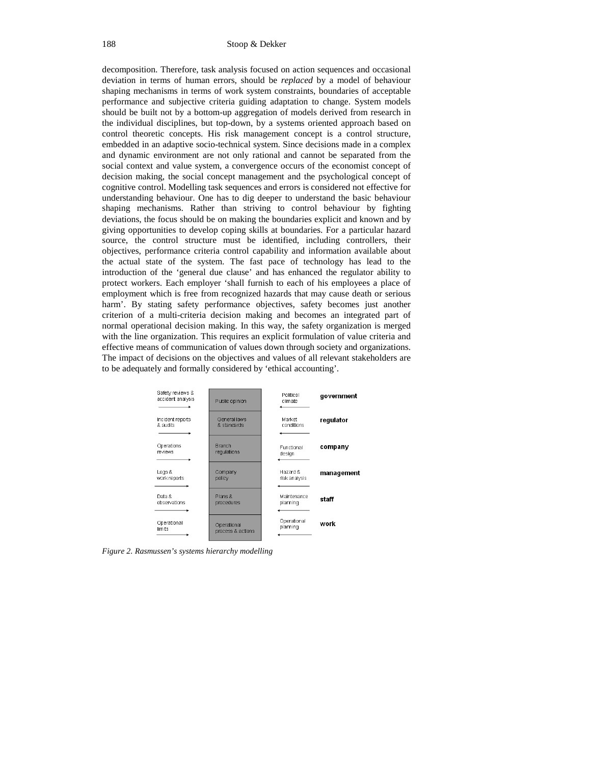decomposition. Therefore, task analysis focused on action sequences and occasional deviation in terms of human errors, should be *replaced* by a model of behaviour shaping mechanisms in terms of work system constraints, boundaries of acceptable performance and subjective criteria guiding adaptation to change. System models should be built not by a bottom-up aggregation of models derived from research in the individual disciplines, but top-down, by a systems oriented approach based on control theoretic concepts. His risk management concept is a control structure, embedded in an adaptive socio-technical system. Since decisions made in a complex and dynamic environment are not only rational and cannot be separated from the social context and value system, a convergence occurs of the economist concept of decision making, the social concept management and the psychological concept of cognitive control. Modelling task sequences and errors is considered not effective for understanding behaviour. One has to dig deeper to understand the basic behaviour shaping mechanisms. Rather than striving to control behaviour by fighting deviations, the focus should be on making the boundaries explicit and known and by giving opportunities to develop coping skills at boundaries. For a particular hazard source, the control structure must be identified, including controllers, their objectives, performance criteria control capability and information available about the actual state of the system. The fast pace of technology has lead to the introduction of the 'general due clause' and has enhanced the regulator ability to protect workers. Each employer 'shall furnish to each of his employees a place of employment which is free from recognized hazards that may cause death or serious harm'. By stating safety performance objectives, safety becomes just another criterion of a multi-criteria decision making and becomes an integrated part of normal operational decision making. In this way, the safety organization is merged with the line organization. This requires an explicit formulation of value criteria and effective means of communication of values down through society and organizations. The impact of decisions on the objectives and values of all relevant stakeholders are to be adequately and formally considered by 'ethical accounting'.



*Figure 2. Rasmussen's systems hierarchy modelling*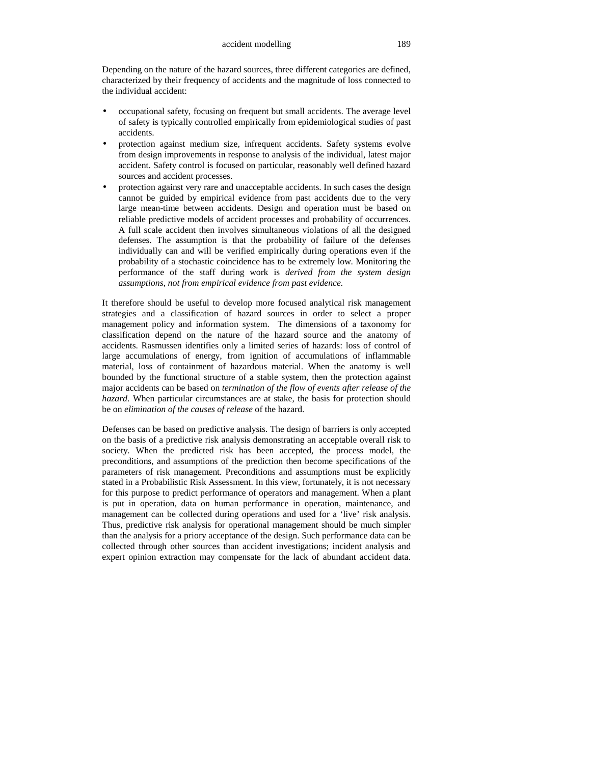Depending on the nature of the hazard sources, three different categories are defined, characterized by their frequency of accidents and the magnitude of loss connected to the individual accident:

- occupational safety, focusing on frequent but small accidents. The average level of safety is typically controlled empirically from epidemiological studies of past accidents.
- protection against medium size, infrequent accidents. Safety systems evolve from design improvements in response to analysis of the individual, latest major accident. Safety control is focused on particular, reasonably well defined hazard sources and accident processes.
- protection against very rare and unacceptable accidents. In such cases the design cannot be guided by empirical evidence from past accidents due to the very large mean-time between accidents. Design and operation must be based on reliable predictive models of accident processes and probability of occurrences. A full scale accident then involves simultaneous violations of all the designed defenses. The assumption is that the probability of failure of the defenses individually can and will be verified empirically during operations even if the probability of a stochastic coincidence has to be extremely low. Monitoring the performance of the staff during work is *derived from the system design assumptions, not from empirical evidence from past evidence.*

It therefore should be useful to develop more focused analytical risk management strategies and a classification of hazard sources in order to select a proper management policy and information system. The dimensions of a taxonomy for classification depend on the nature of the hazard source and the anatomy of accidents. Rasmussen identifies only a limited series of hazards: loss of control of large accumulations of energy, from ignition of accumulations of inflammable material, loss of containment of hazardous material. When the anatomy is well bounded by the functional structure of a stable system, then the protection against major accidents can be based on *termination of the flow of events after release of the hazard*. When particular circumstances are at stake, the basis for protection should be on *elimination of the causes of release* of the hazard.

Defenses can be based on predictive analysis. The design of barriers is only accepted on the basis of a predictive risk analysis demonstrating an acceptable overall risk to society. When the predicted risk has been accepted, the process model, the preconditions, and assumptions of the prediction then become specifications of the parameters of risk management. Preconditions and assumptions must be explicitly stated in a Probabilistic Risk Assessment. In this view, fortunately, it is not necessary for this purpose to predict performance of operators and management. When a plant is put in operation, data on human performance in operation, maintenance, and management can be collected during operations and used for a 'live' risk analysis. Thus, predictive risk analysis for operational management should be much simpler than the analysis for a priory acceptance of the design. Such performance data can be collected through other sources than accident investigations; incident analysis and expert opinion extraction may compensate for the lack of abundant accident data.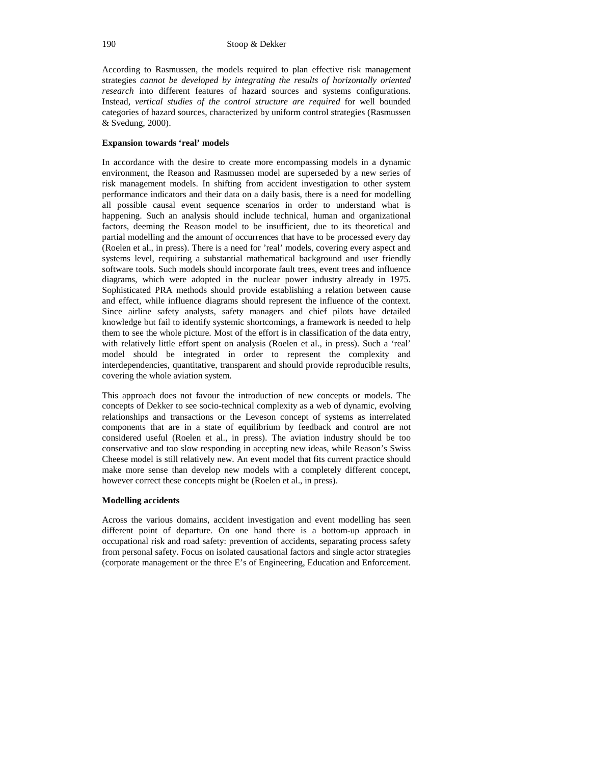According to Rasmussen, the models required to plan effective risk management strategies *cannot be developed by integrating the results of horizontally oriented research* into different features of hazard sources and systems configurations. Instead, *vertical studies of the control structure are required* for well bounded categories of hazard sources, characterized by uniform control strategies (Rasmussen & Svedung, 2000).

# **Expansion towards 'real' models**

In accordance with the desire to create more encompassing models in a dynamic environment, the Reason and Rasmussen model are superseded by a new series of risk management models. In shifting from accident investigation to other system performance indicators and their data on a daily basis, there is a need for modelling all possible causal event sequence scenarios in order to understand what is happening. Such an analysis should include technical, human and organizational factors, deeming the Reason model to be insufficient, due to its theoretical and partial modelling and the amount of occurrences that have to be processed every day (Roelen et al., in press). There is a need for 'real' models, covering every aspect and systems level, requiring a substantial mathematical background and user friendly software tools. Such models should incorporate fault trees, event trees and influence diagrams, which were adopted in the nuclear power industry already in 1975. Sophisticated PRA methods should provide establishing a relation between cause and effect, while influence diagrams should represent the influence of the context. Since airline safety analysts, safety managers and chief pilots have detailed knowledge but fail to identify systemic shortcomings, a framework is needed to help them to see the whole picture. Most of the effort is in classification of the data entry, with relatively little effort spent on analysis (Roelen et al., in press). Such a 'real' model should be integrated in order to represent the complexity and interdependencies, quantitative, transparent and should provide reproducible results, covering the whole aviation system.

This approach does not favour the introduction of new concepts or models. The concepts of Dekker to see socio-technical complexity as a web of dynamic, evolving relationships and transactions or the Leveson concept of systems as interrelated components that are in a state of equilibrium by feedback and control are not considered useful (Roelen et al., in press). The aviation industry should be too conservative and too slow responding in accepting new ideas, while Reason's Swiss Cheese model is still relatively new. An event model that fits current practice should make more sense than develop new models with a completely different concept, however correct these concepts might be (Roelen et al., in press).

### **Modelling accidents**

Across the various domains, accident investigation and event modelling has seen different point of departure. On one hand there is a bottom-up approach in occupational risk and road safety: prevention of accidents, separating process safety from personal safety. Focus on isolated causational factors and single actor strategies (corporate management or the three E's of Engineering, Education and Enforcement.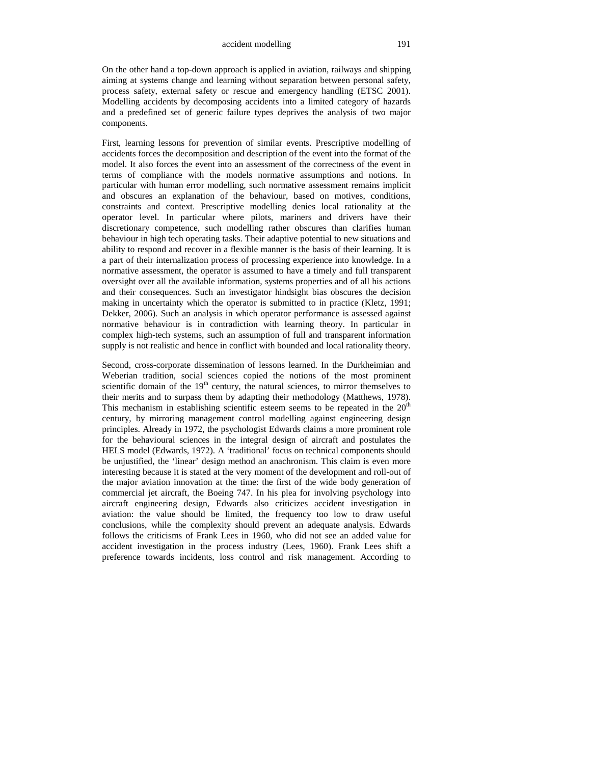On the other hand a top-down approach is applied in aviation, railways and shipping aiming at systems change and learning without separation between personal safety, process safety, external safety or rescue and emergency handling (ETSC 2001). Modelling accidents by decomposing accidents into a limited category of hazards and a predefined set of generic failure types deprives the analysis of two major components.

First, learning lessons for prevention of similar events. Prescriptive modelling of accidents forces the decomposition and description of the event into the format of the model. It also forces the event into an assessment of the correctness of the event in terms of compliance with the models normative assumptions and notions. In particular with human error modelling, such normative assessment remains implicit and obscures an explanation of the behaviour, based on motives, conditions, constraints and context. Prescriptive modelling denies local rationality at the operator level. In particular where pilots, mariners and drivers have their discretionary competence, such modelling rather obscures than clarifies human behaviour in high tech operating tasks. Their adaptive potential to new situations and ability to respond and recover in a flexible manner is the basis of their learning. It is a part of their internalization process of processing experience into knowledge. In a normative assessment, the operator is assumed to have a timely and full transparent oversight over all the available information, systems properties and of all his actions and their consequences. Such an investigator hindsight bias obscures the decision making in uncertainty which the operator is submitted to in practice (Kletz, 1991; Dekker, 2006). Such an analysis in which operator performance is assessed against normative behaviour is in contradiction with learning theory. In particular in complex high-tech systems, such an assumption of full and transparent information supply is not realistic and hence in conflict with bounded and local rationality theory.

Second, cross-corporate dissemination of lessons learned. In the Durkheimian and Weberian tradition, social sciences copied the notions of the most prominent scientific domain of the  $19<sup>th</sup>$  century, the natural sciences, to mirror themselves to their merits and to surpass them by adapting their methodology (Matthews, 1978). This mechanism in establishing scientific esteem seems to be repeated in the  $20<sup>th</sup>$ century, by mirroring management control modelling against engineering design principles. Already in 1972, the psychologist Edwards claims a more prominent role for the behavioural sciences in the integral design of aircraft and postulates the HELS model (Edwards, 1972). A 'traditional' focus on technical components should be unjustified, the 'linear' design method an anachronism. This claim is even more interesting because it is stated at the very moment of the development and roll-out of the major aviation innovation at the time: the first of the wide body generation of commercial jet aircraft, the Boeing 747. In his plea for involving psychology into aircraft engineering design, Edwards also criticizes accident investigation in aviation: the value should be limited, the frequency too low to draw useful conclusions, while the complexity should prevent an adequate analysis. Edwards follows the criticisms of Frank Lees in 1960, who did not see an added value for accident investigation in the process industry (Lees, 1960). Frank Lees shift a preference towards incidents, loss control and risk management. According to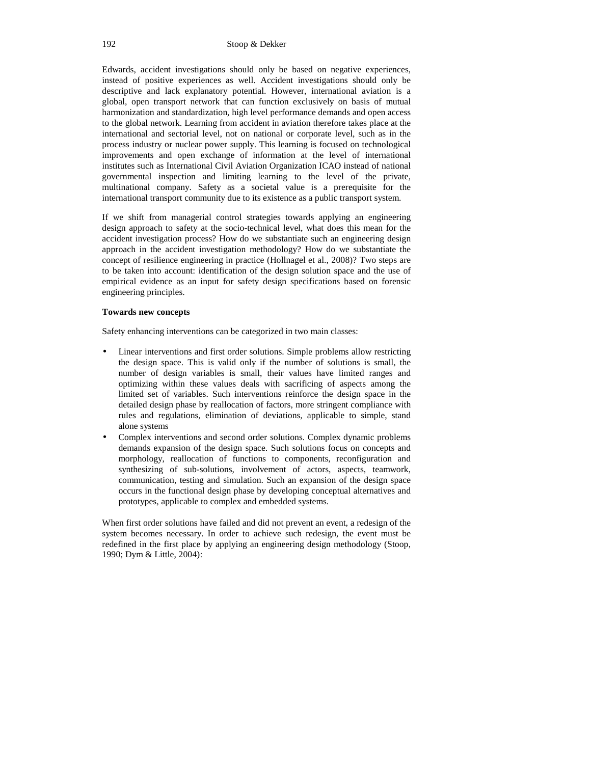Edwards, accident investigations should only be based on negative experiences, instead of positive experiences as well. Accident investigations should only be descriptive and lack explanatory potential. However, international aviation is a global, open transport network that can function exclusively on basis of mutual harmonization and standardization, high level performance demands and open access to the global network. Learning from accident in aviation therefore takes place at the international and sectorial level, not on national or corporate level, such as in the process industry or nuclear power supply. This learning is focused on technological improvements and open exchange of information at the level of international institutes such as International Civil Aviation Organization ICAO instead of national governmental inspection and limiting learning to the level of the private, multinational company. Safety as a societal value is a prerequisite for the international transport community due to its existence as a public transport system.

If we shift from managerial control strategies towards applying an engineering design approach to safety at the socio-technical level, what does this mean for the accident investigation process? How do we substantiate such an engineering design approach in the accident investigation methodology? How do we substantiate the concept of resilience engineering in practice (Hollnagel et al., 2008)? Two steps are to be taken into account: identification of the design solution space and the use of empirical evidence as an input for safety design specifications based on forensic engineering principles.

## **Towards new concepts**

Safety enhancing interventions can be categorized in two main classes:

- Linear interventions and first order solutions. Simple problems allow restricting the design space. This is valid only if the number of solutions is small, the number of design variables is small, their values have limited ranges and optimizing within these values deals with sacrificing of aspects among the limited set of variables. Such interventions reinforce the design space in the detailed design phase by reallocation of factors, more stringent compliance with rules and regulations, elimination of deviations, applicable to simple, stand alone systems
- Complex interventions and second order solutions. Complex dynamic problems demands expansion of the design space. Such solutions focus on concepts and morphology, reallocation of functions to components, reconfiguration and synthesizing of sub-solutions, involvement of actors, aspects, teamwork, communication, testing and simulation. Such an expansion of the design space occurs in the functional design phase by developing conceptual alternatives and prototypes, applicable to complex and embedded systems.

When first order solutions have failed and did not prevent an event, a redesign of the system becomes necessary. In order to achieve such redesign, the event must be redefined in the first place by applying an engineering design methodology (Stoop, 1990; Dym & Little, 2004):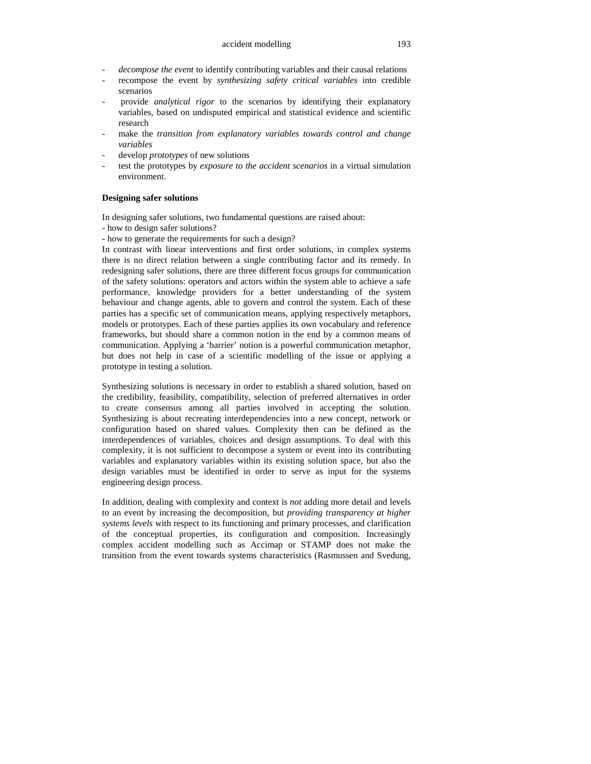- decompose the event to identify contributing variables and their causal relations
- recompose the event by *synthesizing safety critical variables* into credible scenarios
- provide *analytical rigor* to the scenarios by identifying their explanatory variables, based on undisputed empirical and statistical evidence and scientific research
- make the *transition from explanatory variables towards control and change variables*
- develop *prototypes* of new solutions
- test the prototypes by *exposure to the accident scenarios* in a virtual simulation environment.

#### **Designing safer solutions**

In designing safer solutions, two fundamental questions are raised about:

- how to design safer solutions?

- how to generate the requirements for such a design?

In contrast with linear interventions and first order solutions, in complex systems there is no direct relation between a single contributing factor and its remedy. In redesigning safer solutions, there are three different focus groups for communication of the safety solutions: operators and actors within the system able to achieve a safe performance, knowledge providers for a better understanding of the system behaviour and change agents, able to govern and control the system. Each of these parties has a specific set of communication means, applying respectively metaphors, models or prototypes. Each of these parties applies its own vocabulary and reference frameworks, but should share a common notion in the end by a common means of communication. Applying a 'barrier' notion is a powerful communication metaphor, but does not help in case of a scientific modelling of the issue or applying a prototype in testing a solution.

Synthesizing solutions is necessary in order to establish a shared solution, based on the credibility, feasibility, compatibility, selection of preferred alternatives in order to create consensus among all parties involved in accepting the solution. Synthesizing is about recreating interdependencies into a new concept, network or configuration based on shared values. Complexity then can be defined as the interdependences of variables, choices and design assumptions. To deal with this complexity, it is not sufficient to decompose a system or event into its contributing variables and explanatory variables within its existing solution space, but also the design variables must be identified in order to serve as input for the systems engineering design process.

In addition, dealing with complexity and context is *not* adding more detail and levels to an event by increasing the decomposition, but *providing transparency at higher systems levels* with respect to its functioning and primary processes, and clarification of the conceptual properties, its configuration and composition. Increasingly complex accident modelling such as Accimap or STAMP does not make the transition from the event towards systems characteristics (Rasmussen and Svedung,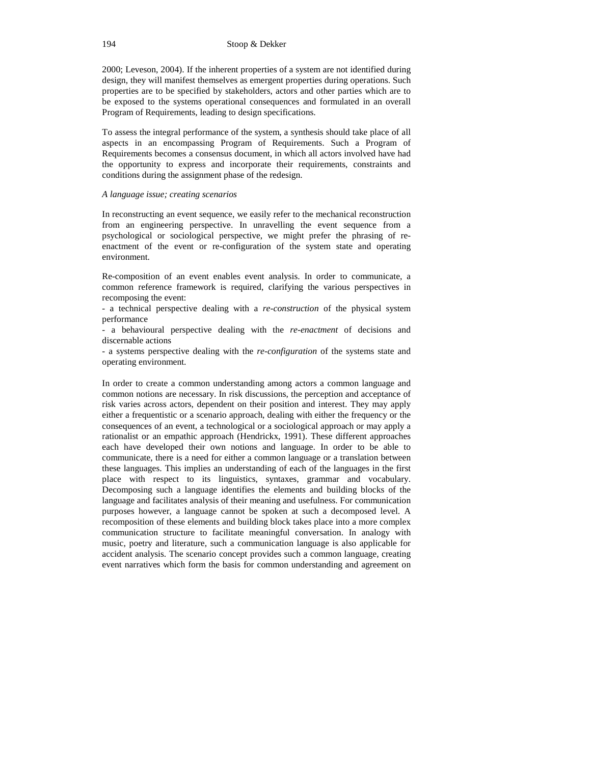2000; Leveson, 2004). If the inherent properties of a system are not identified during design, they will manifest themselves as emergent properties during operations. Such properties are to be specified by stakeholders, actors and other parties which are to be exposed to the systems operational consequences and formulated in an overall Program of Requirements, leading to design specifications.

To assess the integral performance of the system, a synthesis should take place of all aspects in an encompassing Program of Requirements. Such a Program of Requirements becomes a consensus document, in which all actors involved have had the opportunity to express and incorporate their requirements, constraints and conditions during the assignment phase of the redesign.

### *A language issue; creating scenarios*

In reconstructing an event sequence, we easily refer to the mechanical reconstruction from an engineering perspective. In unravelling the event sequence from a psychological or sociological perspective, we might prefer the phrasing of reenactment of the event or re-configuration of the system state and operating environment.

Re-composition of an event enables event analysis. In order to communicate, a common reference framework is required, clarifying the various perspectives in recomposing the event:

- a technical perspective dealing with a *re-construction* of the physical system performance

- a behavioural perspective dealing with the *re-enactment* of decisions and discernable actions

- a systems perspective dealing with the *re-configuration* of the systems state and operating environment.

In order to create a common understanding among actors a common language and common notions are necessary. In risk discussions, the perception and acceptance of risk varies across actors, dependent on their position and interest. They may apply either a frequentistic or a scenario approach, dealing with either the frequency or the consequences of an event, a technological or a sociological approach or may apply a rationalist or an empathic approach (Hendrickx, 1991). These different approaches each have developed their own notions and language. In order to be able to communicate, there is a need for either a common language or a translation between these languages. This implies an understanding of each of the languages in the first place with respect to its linguistics, syntaxes, grammar and vocabulary. Decomposing such a language identifies the elements and building blocks of the language and facilitates analysis of their meaning and usefulness. For communication purposes however, a language cannot be spoken at such a decomposed level. A recomposition of these elements and building block takes place into a more complex communication structure to facilitate meaningful conversation. In analogy with music, poetry and literature, such a communication language is also applicable for accident analysis. The scenario concept provides such a common language, creating event narratives which form the basis for common understanding and agreement on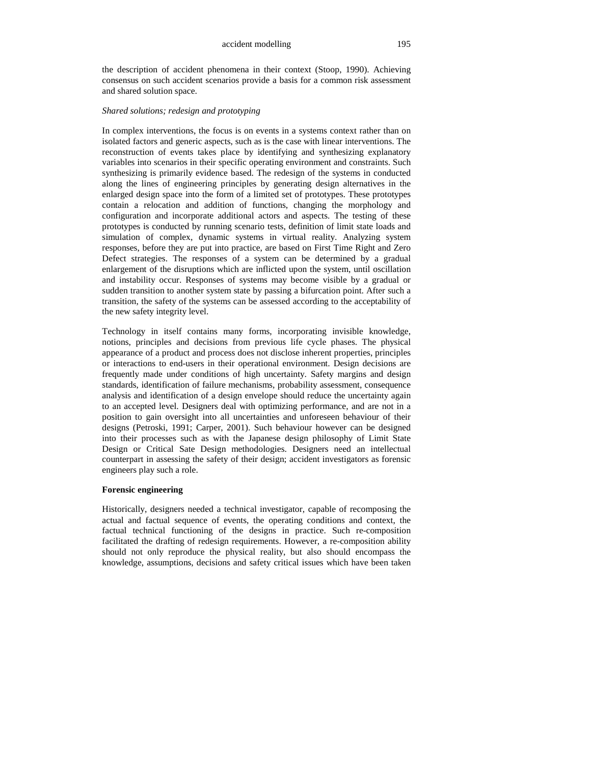the description of accident phenomena in their context (Stoop, 1990). Achieving consensus on such accident scenarios provide a basis for a common risk assessment and shared solution space.

# *Shared solutions; redesign and prototyping*

In complex interventions, the focus is on events in a systems context rather than on isolated factors and generic aspects, such as is the case with linear interventions. The reconstruction of events takes place by identifying and synthesizing explanatory variables into scenarios in their specific operating environment and constraints. Such synthesizing is primarily evidence based. The redesign of the systems in conducted along the lines of engineering principles by generating design alternatives in the enlarged design space into the form of a limited set of prototypes. These prototypes contain a relocation and addition of functions, changing the morphology and configuration and incorporate additional actors and aspects. The testing of these prototypes is conducted by running scenario tests, definition of limit state loads and simulation of complex, dynamic systems in virtual reality. Analyzing system responses, before they are put into practice, are based on First Time Right and Zero Defect strategies. The responses of a system can be determined by a gradual enlargement of the disruptions which are inflicted upon the system, until oscillation and instability occur. Responses of systems may become visible by a gradual or sudden transition to another system state by passing a bifurcation point. After such a transition, the safety of the systems can be assessed according to the acceptability of the new safety integrity level.

Technology in itself contains many forms, incorporating invisible knowledge, notions, principles and decisions from previous life cycle phases. The physical appearance of a product and process does not disclose inherent properties, principles or interactions to end-users in their operational environment. Design decisions are frequently made under conditions of high uncertainty. Safety margins and design standards, identification of failure mechanisms, probability assessment, consequence analysis and identification of a design envelope should reduce the uncertainty again to an accepted level. Designers deal with optimizing performance, and are not in a position to gain oversight into all uncertainties and unforeseen behaviour of their designs (Petroski, 1991; Carper, 2001). Such behaviour however can be designed into their processes such as with the Japanese design philosophy of Limit State Design or Critical Sate Design methodologies. Designers need an intellectual counterpart in assessing the safety of their design; accident investigators as forensic engineers play such a role.

# **Forensic engineering**

Historically, designers needed a technical investigator, capable of recomposing the actual and factual sequence of events, the operating conditions and context, the factual technical functioning of the designs in practice. Such re-composition facilitated the drafting of redesign requirements. However, a re-composition ability should not only reproduce the physical reality, but also should encompass the knowledge, assumptions, decisions and safety critical issues which have been taken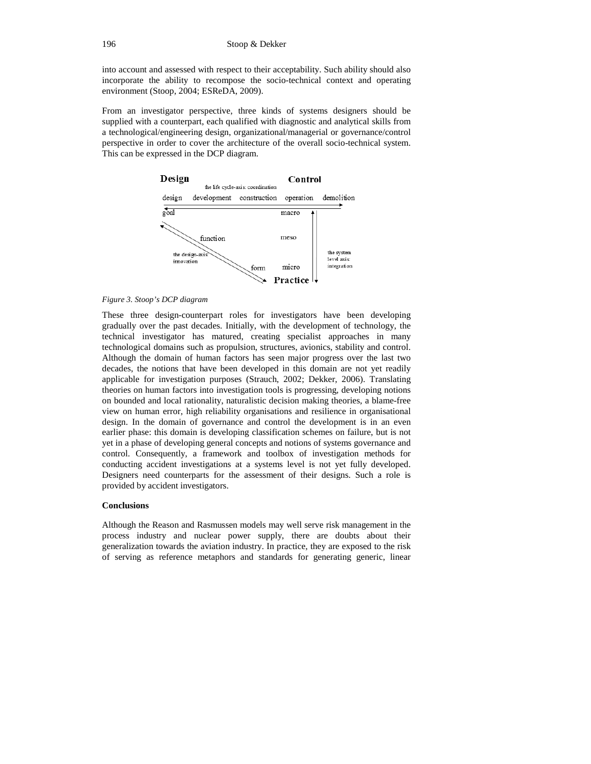into account and assessed with respect to their acceptability. Such ability should also incorporate the ability to recompose the socio-technical context and operating environment (Stoop, 2004; ESReDA, 2009).

From an investigator perspective, three kinds of systems designers should be supplied with a counterpart, each qualified with diagnostic and analytical skills from a technological/engineering design, organizational/managerial or governance/control perspective in order to cover the architecture of the overall socio-technical system. This can be expressed in the DCP diagram.



#### *Figure 3. Stoop's DCP diagram*

These three design-counterpart roles for investigators have been developing gradually over the past decades. Initially, with the development of technology, the technical investigator has matured, creating specialist approaches in many technological domains such as propulsion, structures, avionics, stability and control. Although the domain of human factors has seen major progress over the last two decades, the notions that have been developed in this domain are not yet readily applicable for investigation purposes (Strauch, 2002; Dekker, 2006). Translating theories on human factors into investigation tools is progressing, developing notions on bounded and local rationality, naturalistic decision making theories, a blame-free view on human error, high reliability organisations and resilience in organisational design. In the domain of governance and control the development is in an even earlier phase: this domain is developing classification schemes on failure, but is not yet in a phase of developing general concepts and notions of systems governance and control. Consequently, a framework and toolbox of investigation methods for conducting accident investigations at a systems level is not yet fully developed. Designers need counterparts for the assessment of their designs. Such a role is provided by accident investigators.

### **Conclusions**

Although the Reason and Rasmussen models may well serve risk management in the process industry and nuclear power supply, there are doubts about their generalization towards the aviation industry. In practice, they are exposed to the risk of serving as reference metaphors and standards for generating generic, linear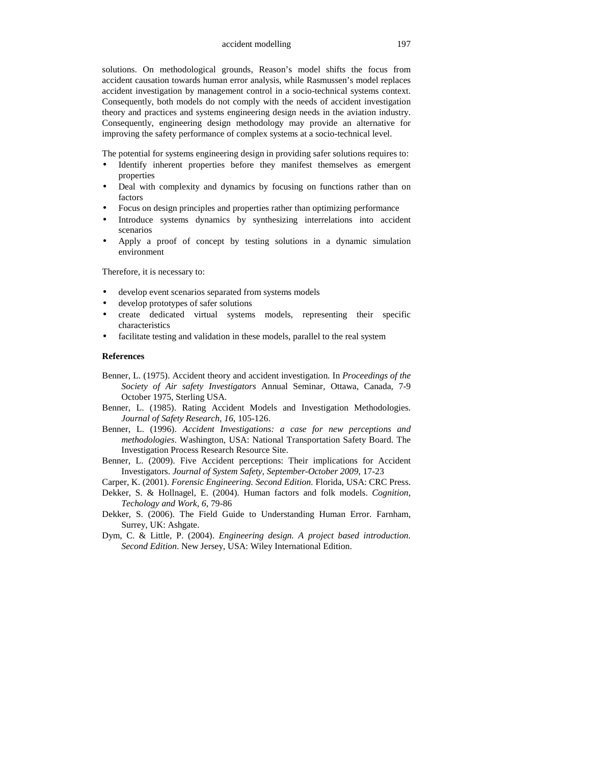solutions. On methodological grounds, Reason's model shifts the focus from accident causation towards human error analysis, while Rasmussen's model replaces accident investigation by management control in a socio-technical systems context. Consequently, both models do not comply with the needs of accident investigation theory and practices and systems engineering design needs in the aviation industry. Consequently, engineering design methodology may provide an alternative for improving the safety performance of complex systems at a socio-technical level.

The potential for systems engineering design in providing safer solutions requires to:

- Identify inherent properties before they manifest themselves as emergent properties
- Deal with complexity and dynamics by focusing on functions rather than on factors
- Focus on design principles and properties rather than optimizing performance
- Introduce systems dynamics by synthesizing interrelations into accident scenarios
- Apply a proof of concept by testing solutions in a dynamic simulation environment

Therefore, it is necessary to:

- develop event scenarios separated from systems models
- develop prototypes of safer solutions
- create dedicated virtual systems models, representing their specific characteristics
- facilitate testing and validation in these models, parallel to the real system

#### **References**

- Benner, L. (1975). Accident theory and accident investigation. In *Proceedings of the Society of Air safety Investigators* Annual Seminar, Ottawa, Canada, 7-9 October 1975, Sterling USA.
- Benner, L. (1985). Rating Accident Models and Investigation Methodologies. *Journal of Safety Research, 16*, 105-126.
- Benner, L. (1996). *Accident Investigations: a case for new perceptions and methodologies*. Washington, USA: National Transportation Safety Board. The Investigation Process Research Resource Site.
- Benner, L. (2009). Five Accident perceptions: Their implications for Accident Investigators. *Journal of System Safety, September-October 2009*, 17-23

Carper, K. (2001). *Forensic Engineering. Second Edition*. Florida, USA: CRC Press.

Dekker, S. & Hollnagel, E. (2004). Human factors and folk models. *Cognition, Techology and Work, 6*, 79-86

- Dekker, S. (2006). The Field Guide to Understanding Human Error. Farnham, Surrey, UK: Ashgate.
- Dym, C. & Little, P. (2004). *Engineering design. A project based introduction. Second Edition*. New Jersey, USA: Wiley International Edition.